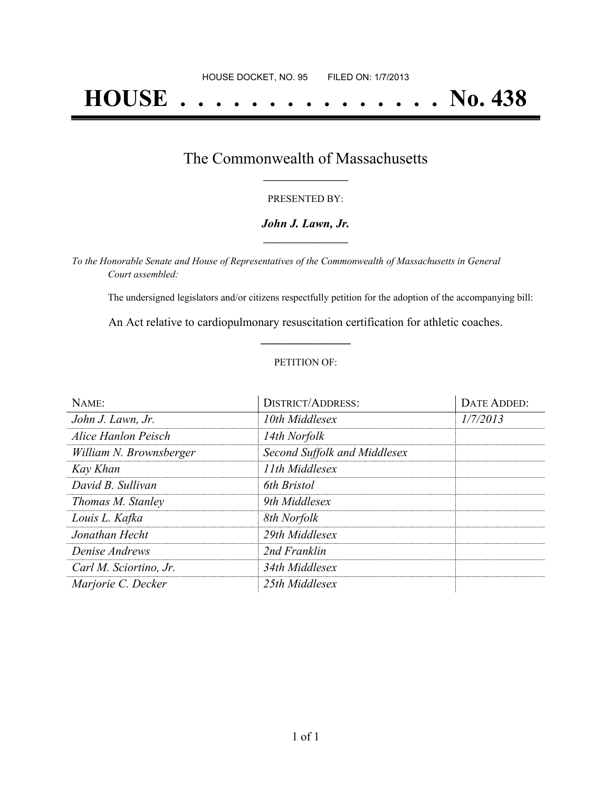### The Commonwealth of Massachusetts **\_\_\_\_\_\_\_\_\_\_\_\_\_\_\_\_\_**

#### PRESENTED BY:

#### *John J. Lawn, Jr.* **\_\_\_\_\_\_\_\_\_\_\_\_\_\_\_\_\_**

*To the Honorable Senate and House of Representatives of the Commonwealth of Massachusetts in General Court assembled:*

The undersigned legislators and/or citizens respectfully petition for the adoption of the accompanying bill:

An Act relative to cardiopulmonary resuscitation certification for athletic coaches. **\_\_\_\_\_\_\_\_\_\_\_\_\_\_\_**

#### PETITION OF:

| NAME:                   | <b>DISTRICT/ADDRESS:</b>     | DATE ADDED: |
|-------------------------|------------------------------|-------------|
| John J. Lawn, Jr.       | 10th Middlesex               | 1/7/2013    |
| Alice Hanlon Peisch     | 14th Norfolk                 |             |
| William N. Brownsberger | Second Suffolk and Middlesex |             |
| Kay Khan                | 11th Middlesex               |             |
| David B. Sullivan       | 6th Bristol                  |             |
| Thomas M. Stanley       | 9th Middlesex                |             |
| Louis L. Kafka          | 8th Norfolk                  |             |
| Jonathan Hecht          | 29th Middlesex               |             |
| Denise Andrews          | 2nd Franklin                 |             |
| Carl M. Sciortino, Jr.  | 34th Middlesex               |             |
| Marjorie C. Decker      | 25th Middlesex               |             |